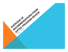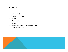# KUDOS

- High standards
- Teachers of the gifted
- Parents
- Student choice
- Students
- Technology and the use of the SAMR model
- Need for academic rigor

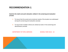#### *Examine the matrix and point allocation utilized in the screening and evaluation process*

- A. To insure that the social and emotional needs of the student are addressed during the screening and evaluation process
- B. To insure that multiple criteria are utilized as tools in the screening and identification process

DEPARTMENT OF PUPIL SERVICES SCHOOL YEAR 2014 - 15

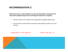*Clarify each person's responsibilities in screening, identification, development of instructional programming and the monitoring and evaluation of progress* 

- A. Identify a person at the district level responsible for gifted programming
- B. Communicate to which office all questions about gifted education are to be directed

DEPARTMENT OF PUPIL SERVICES SCHOOL YEAR 2014 - 15

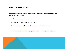#### *Clarify for all staff and parents, in writing and presentation, the district's screening and identification process*

- A. Characteristics of gifted children
- B. Implications for teaching and learning
- C. Comprehensive professional development plan to be developed

DEPARTMENTS OF PUPIL SERVICES/EDUCATION SCHOOL YEAR 2014-15

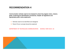*Communication vehicles need to be employed to share the program vision, mission, goals, screening and identification procedures, Chapter 16 regulations and appropriate public notice statements* 

- A. Vehicles need to be identified and designed
- B. Parent Forum concept should be explored

DEPARTMENT OF TECHNOLOGY/COMMUNICATION SCHOOL YEAR 2014 -15

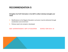### *Strengthen the PLEP information in the GIEP to reflect individual strengths and needs*

- A. Modifications to the Regular Education curriculum must be delivered through acceleration and enrichment
- B. Policies need to be revised or developed

ASST. SUPERINTENDENT/ DEPT. OF EDUCATION SCHOOL YEAR 2014 -15

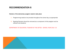#### *Revision of the elementary program needs to take place*

- A. Programming needs to be provided throughout the school day, as appropriate
- B. Reading Olympics should be removed as a component of this program and be offered to all students

### DEPARTMENT OF EDUCATION/ TEACHER OF THE GIFTED SCHOOL YEAR 2014 -15

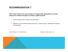*GIEP content needs to be communicated to all appropriate stakeholders and should address the individual strengths and talents of gifted students* 

- A. Communication plan needs to be developed
- B. Selection of and Implementation plan for a "ready to learn" assessment needs to be developed

DEPARTMENT OF EDUCATION SCHOOL YEAR 2014 -15

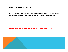*Program designs and models need to be researched to identify those that utilize staff and technology resources most effectively to meet the needs of gifted learners.* 

#### DEPARTMENTS OF PUPIL SERVICES/EDUCATION SCHOOL YEAR 2014 - 15

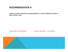*Analyze curricula to determine the appropriateness of current offerings and levels of rigor involved in them* 

DEPARTMENT OF EDUCATION SCHOOL YEAR 2014 – 15/ONGOING

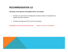*Schedules of the teachers of the gifted need to be analyzed* 

- A. Provision of more time for collaboration between teacher of the gifted and regular education teachers
- B. Consider utilizing some PLC time for this purpose

DEPARTMENTS OF PUPIL SERVICES/EDUCATION SCHOOL YEAR 2014 -15/ONGOING

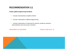#### *Create a gifted programming handbook*

- A. Include characteristics of gifted children
- B. Include a description of gifted programming
- C. Include a description of resources for parents, students, teachers, administrators and community members

DEPARTMENT OF EDUCATION SCHOOL YEAR 2014 -15

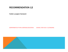*Publish a program framework* 

DEPARTMENTS OF PUPIL SERVICES/EDUCATION SCHOOL YEAR 2014 -15/ONGOING

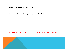*Continue to offer the Gifted Programming module in Induction* 

DEPARTMENT OF EDUCATION SCHOOL YEAR 2014 -15/ONGOING

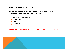*Realign the invitee list for GIEP meeting and include those individuals in GIEP discussions and plans for instruction of the gifted student* 

- A. LEA (principal/ representative
- B. Regular Education teacher
- C. Teacher of the gifted
- D. Parent/guardian
- E. Student (when appropriate)

DEPARTMENT OF PUPIL SERVICES SCHOOL YEAR 2014 - 15/ONGOING

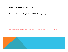*Revise the gifted education plan to meet PDE's timeline, as appropriate* 

DEPARTMENTS OF PUPIL SERVICES AND EDUCATION SCHOOL YEAR 2014 – 15/ONGOING